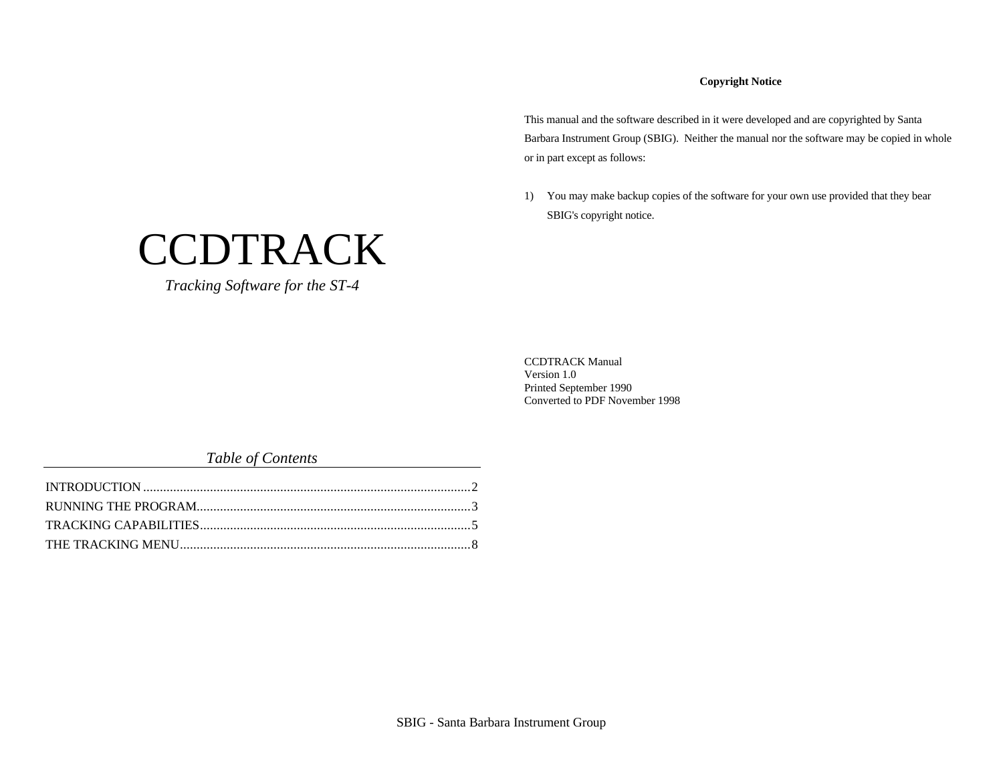## **Copyright Notice**

This manual and the software described in it were developed and are copyrighted by Santa Barbara Instrument Group (SBIG). Neither the manual nor the software may be copied in whole or in part except as follows:

1) You may make backup copies of the software for your own use provided that they bear SBIG's copyright notice.

CCDTRACK Manual Version 1.0 Printed September 1990 Converted to PDF November 1998

## *Table of Contents*

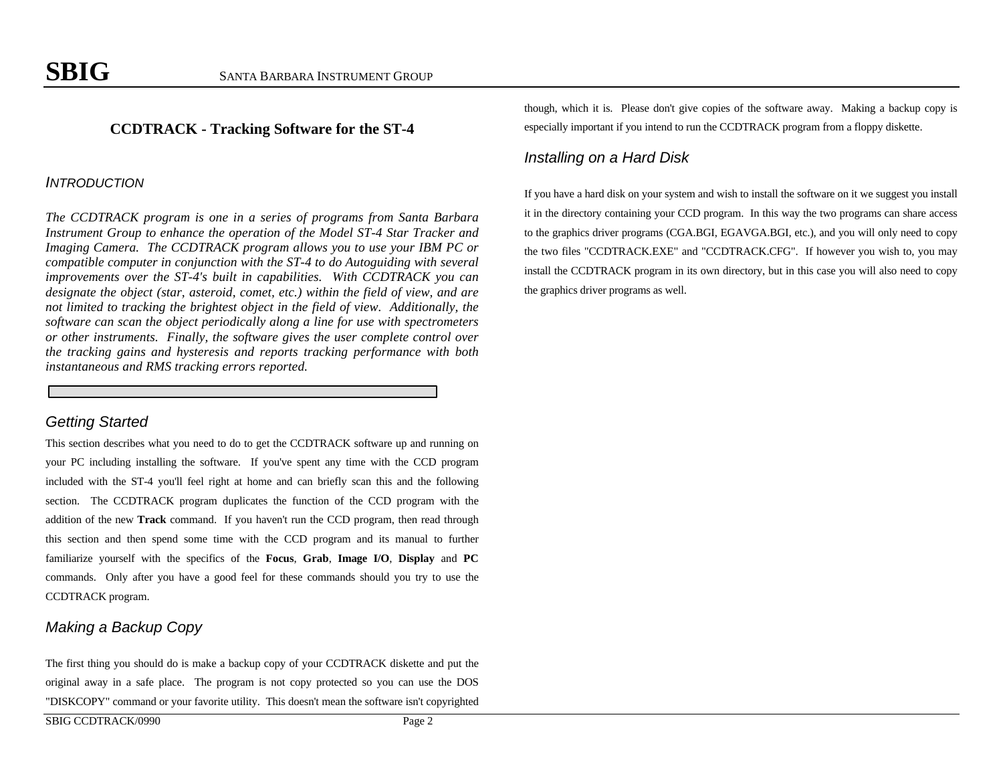## **CCDTRACK - Tracking Software for the ST-4**

## *INTRODUCTION*

*The CCDTRACK program is one in a series of programs from Santa Barbara Instrument Group to enhance the operation of the Model ST-4 Star Tracker and Imaging Camera. The CCDTRACK program allows you to use your IBM PC or compatible computer in conjunction with the ST-4 to do Autoguiding with several improvements over the ST-4's built in capabilities. With CCDTRACK you can designate the object (star, asteroid, comet, etc.) within the field of view, and are not limited to tracking the brightest object in the field of view. Additionally, the software can scan the object periodically along a line for use with spectrometers or other instruments. Finally, the software gives the user complete control over the tracking gains and hysteresis and reports tracking performance with both instantaneous and RMS tracking errors reported.*

## *Getting Started*

This section describes what you need to do to get the CCDTRACK software up and running on your PC including installing the software. If you've spent any time with the CCD program included with the ST-4 you'll feel right at home and can briefly scan this and the following section. The CCDTRACK program duplicates the function of the CCD program with the addition of the new **Track** command. If you haven't run the CCD program, then read through this section and then spend some time with the CCD program and its manual to further familiarize yourself with the specifics of the **Focus**, **Grab**, **Image I/O**, **Display** and **PC** commands. Only after you have a good feel for these commands should you try to use the CCDTRACK program.

# *Making a Backup Copy*

The first thing you should do is make a backup copy of your CCDTRACK diskette and put the original away in a safe place. The program is not copy protected so you can use the DOS "DISKCOPY" command or your favorite utility. This doesn't mean the software isn't copyrighted

though, which it is. Please don't give copies of the software away. Making a backup copy is especially important if you intend to run the CCDTRACK program from a floppy diskette.

## *Installing on a Hard Disk*

If you have a hard disk on your system and wish to install the software on it we suggest you install it in the directory containing your CCD program. In this way the two programs can share access to the graphics driver programs (CGA.BGI, EGAVGA.BGI, etc.), and you will only need to copy the two files "CCDTRACK.EXE" and "CCDTRACK.CFG". If however you wish to, you may install the CCDTRACK program in its own directory, but in this case you will also need to copy the graphics driver programs as well.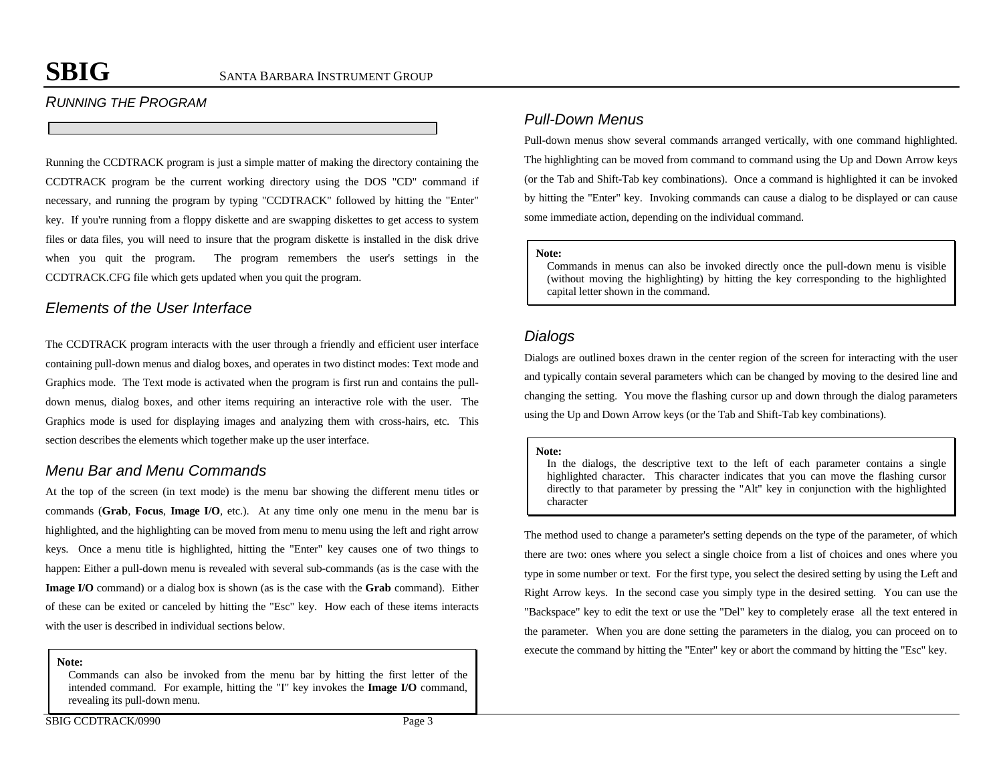## *RUNNING THE PROGRAM*

Running the CCDTRACK program is just a simple matter of making the directory containing the CCDTRACK program be the current working directory using the DOS "CD" command if necessary, and running the program by typing "CCDTRACK" followed by hitting the "Enter" key. If you're running from a floppy diskette and are swapping diskettes to get access to system files or data files, you will need to insure that the program diskette is installed in the disk drive when you quit the program. The program remembers the user's settings in the CCDTRACK.CFG file which gets updated when you quit the program.

## *Elements of the User Interface*

The CCDTRACK program interacts with the user through a friendly and efficient user interface containing pull-down menus and dialog boxes, and operates in two distinct modes: Text mode and Graphics mode. The Text mode is activated when the program is first run and contains the pulldown menus, dialog boxes, and other items requiring an interactive role with the user. The Graphics mode is used for displaying images and analyzing them with cross-hairs, etc. This section describes the elements which together make up the user interface.

## *Menu Bar and Menu Commands*

At the top of the screen (in text mode) is the menu bar showing the different menu titles or commands (**Grab**, **Focus**, **Image I/O**, etc.). At any time only one menu in the menu bar is highlighted, and the highlighting can be moved from menu to menu using the left and right arrow keys. Once a menu title is highlighted, hitting the "Enter" key causes one of two things to happen: Either a pull-down menu is revealed with several sub-commands (as is the case with the **Image I/O** command) or a dialog box is shown (as is the case with the **Grab** command). Either of these can be exited or canceled by hitting the "Esc" key. How each of these items interacts with the user is described in individual sections below.

**Note:**

Commands can also be invoked from the menu bar by hitting the first letter of the intended command. For example, hitting the "I" key invokes the **Image I/O** command, revealing its pull-down menu.

## *Pull-Down Menus*

Pull-down menus show several commands arranged vertically, with one command highlighted. The highlighting can be moved from command to command using the Up and Down Arrow keys (or the Tab and Shift-Tab key combinations). Once a command is highlighted it can be invoked by hitting the "Enter" key. Invoking commands can cause a dialog to be displayed or can cause some immediate action, depending on the individual command.

#### **Note:**

Commands in menus can also be invoked directly once the pull-down menu is visible (without moving the highlighting) by hitting the key corresponding to the highlighted capital letter shown in the command.

## *Dialogs*

Dialogs are outlined boxes drawn in the center region of the screen for interacting with the user and typically contain several parameters which can be changed by moving to the desired line and changing the setting. You move the flashing cursor up and down through the dialog parameters using the Up and Down Arrow keys (or the Tab and Shift-Tab key combinations).

#### **Note:**

In the dialogs, the descriptive text to the left of each parameter contains a single highlighted character. This character indicates that you can move the flashing cursor directly to that parameter by pressing the "Alt" key in conjunction with the highlighted character

The method used to change a parameter's setting depends on the type of the parameter, of which there are two: ones where you select a single choice from a list of choices and ones where you type in some number or text. For the first type, you select the desired setting by using the Left and Right Arrow keys. In the second case you simply type in the desired setting. You can use the "Backspace" key to edit the text or use the "Del" key to completely erase all the text entered in the parameter. When you are done setting the parameters in the dialog, you can proceed on to execute the command by hitting the "Enter" key or abort the command by hitting the "Esc" key.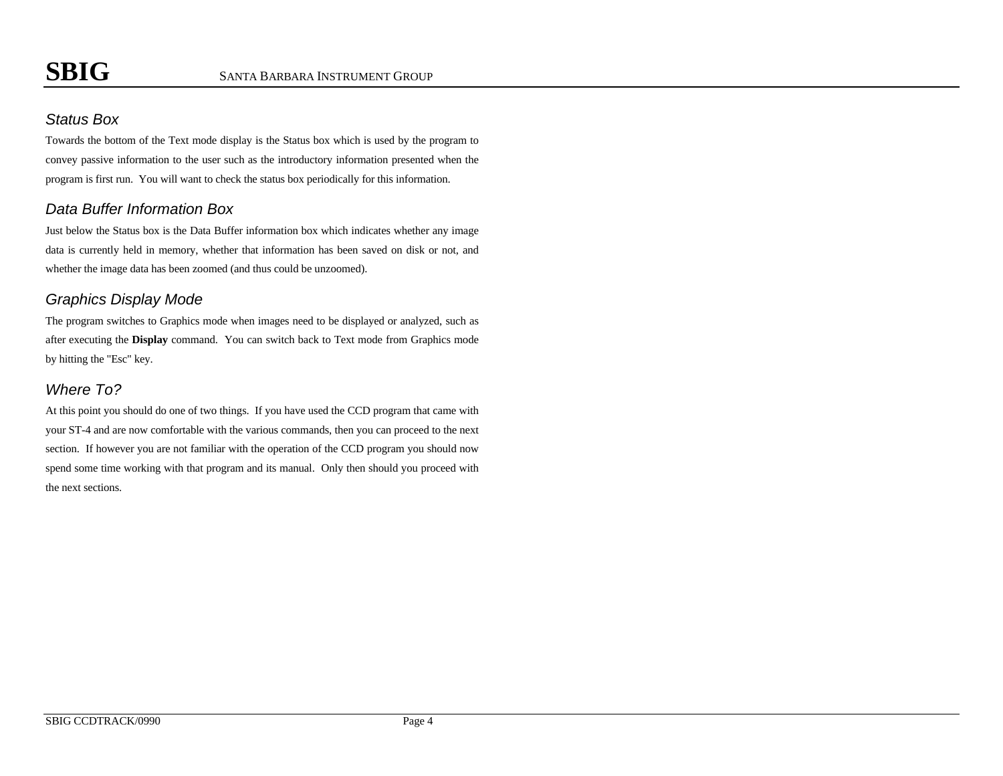# *Status Box*

Towards the bottom of the Text mode display is the Status box which is used by the program to convey passive information to the user such as the introductory information presented when the program is first run. You will want to check the status box periodically for this information.

# *Data Buffer Information Box*

Just below the Status box is the Data Buffer information box which indicates whether any image data is currently held in memory, whether that information has been saved on disk or not, and whether the image data has been zoomed (and thus could be unzoomed).

# *Graphics Display Mode*

The program switches to Graphics mode when images need to be displayed or analyzed, such as after executing the **Display** command. You can switch back to Text mode from Graphics mode by hitting the "Esc" key.

# *Where To?*

At this point you should do one of two things. If you have used the CCD program that came with your ST-4 and are now comfortable with the various commands, then you can proceed to the next section. If however you are not familiar with the operation of the CCD program you should now spend some time working with that program and its manual. Only then should you proceed with the next sections.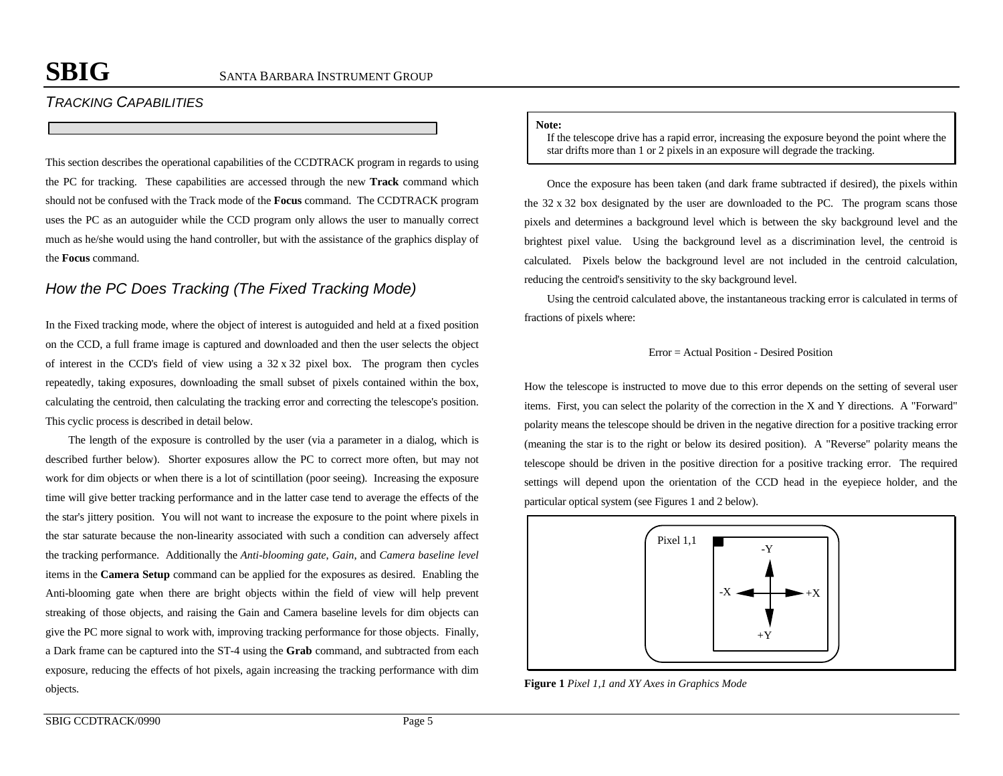# *TRACKING CAPABILITIES*

This section describes the operational capabilities of the CCDTRACK program in regards to using the PC for tracking. These capabilities are accessed through the new **Track** command which should not be confused with the Track mode of the **Focus** command. The CCDTRACK program uses the PC as an autoguider while the CCD program only allows the user to manually correct much as he/she would using the hand controller, but with the assistance of the graphics display of the **Focus** command.

# *How the PC Does Tracking (The Fixed Tracking Mode)*

In the Fixed tracking mode, where the object of interest is autoguided and held at a fixed position on the CCD, a full frame image is captured and downloaded and then the user selects the object of interest in the CCD's field of view using a 32 x 32 pixel box. The program then cycles repeatedly, taking exposures, downloading the small subset of pixels contained within the box, calculating the centroid, then calculating the tracking error and correcting the telescope's position. This cyclic process is described in detail below.

The length of the exposure is controlled by the user (via a parameter in a dialog, which is described further below). Shorter exposures allow the PC to correct more often, but may not work for dim objects or when there is a lot of scintillation (poor seeing). Increasing the exposure time will give better tracking performance and in the latter case tend to average the effects of the the star's jittery position. You will not want to increase the exposure to the point where pixels in the star saturate because the non-linearity associated with such a condition can adversely affect the tracking performance. Additionally the *Anti-blooming gate*, *Gain*, and *Camera baseline level* items in the **Camera Setup** command can be applied for the exposures as desired. Enabling the Anti-blooming gate when there are bright objects within the field of view will help prevent streaking of those objects, and raising the Gain and Camera baseline levels for dim objects can give the PC more signal to work with, improving tracking performance for those objects. Finally, a Dark frame can be captured into the ST-4 using the **Grab** command, and subtracted from each exposure, reducing the effects of hot pixels, again increasing the tracking performance with dim objects.

#### **Note:**

If the telescope drive has a rapid error, increasing the exposure beyond the point where the star drifts more than 1 or 2 pixels in an exposure will degrade the tracking.

Once the exposure has been taken (and dark frame subtracted if desired), the pixels within the 32 x 32 box designated by the user are downloaded to the PC. The program scans those pixels and determines a background level which is between the sky background level and the brightest pixel value. Using the background level as a discrimination level, the centroid is calculated. Pixels below the background level are not included in the centroid calculation, reducing the centroid's sensitivity to the sky background level.

Using the centroid calculated above, the instantaneous tracking error is calculated in terms of fractions of pixels where:

### Error = Actual Position - Desired Position

How the telescope is instructed to move due to this error depends on the setting of several user items. First, you can select the polarity of the correction in the X and Y directions. A "Forward" polarity means the telescope should be driven in the negative direction for a positive tracking error (meaning the star is to the right or below its desired position). A "Reverse" polarity means the telescope should be driven in the positive direction for a positive tracking error. The required settings will depend upon the orientation of the CCD head in the eyepiece holder, and the particular optical system (see Figures 1 and 2 below).



**Figure 1** *Pixel 1,1 and XY Axes in Graphics Mode*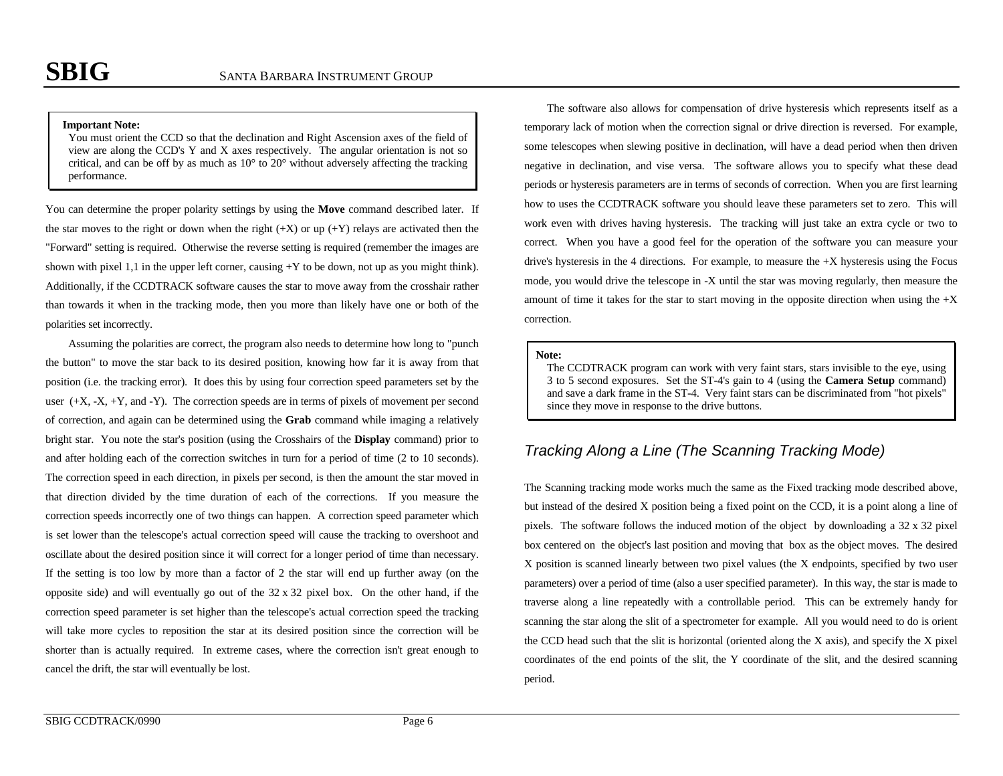#### **Important Note:**

You must orient the CCD so that the declination and Right Ascension axes of the field of view are along the CCD's Y and X axes respectively. The angular orientation is not so critical, and can be off by as much as  $10^{\circ}$  to  $20^{\circ}$  without adversely affecting the tracking performance.

You can determine the proper polarity settings by using the **Move** command described later. If the star moves to the right or down when the right  $(+X)$  or up  $(+Y)$  relays are activated then the "Forward" setting is required. Otherwise the reverse setting is required (remember the images are shown with pixel 1,1 in the upper left corner, causing  $+Y$  to be down, not up as you might think). Additionally, if the CCDTRACK software causes the star to move away from the crosshair rather than towards it when in the tracking mode, then you more than likely have one or both of the polarities set incorrectly.

Assuming the polarities are correct, the program also needs to determine how long to "punch the button" to move the star back to its desired position, knowing how far it is away from that position (i.e. the tracking error). It does this by using four correction speed parameters set by the user  $(+X, -X, +Y,$  and  $-Y$ ). The correction speeds are in terms of pixels of movement per second of correction, and again can be determined using the **Grab** command while imaging a relatively bright star. You note the star's position (using the Crosshairs of the **Display** command) prior to and after holding each of the correction switches in turn for a period of time (2 to 10 seconds). The correction speed in each direction, in pixels per second, is then the amount the star moved in that direction divided by the time duration of each of the corrections. If you measure the correction speeds incorrectly one of two things can happen. A correction speed parameter which is set lower than the telescope's actual correction speed will cause the tracking to overshoot and oscillate about the desired position since it will correct for a longer period of time than necessary. If the setting is too low by more than a factor of 2 the star will end up further away (on the opposite side) and will eventually go out of the 32 x 32 pixel box. On the other hand, if the correction speed parameter is set higher than the telescope's actual correction speed the tracking will take more cycles to reposition the star at its desired position since the correction will be shorter than is actually required. In extreme cases, where the correction isn't great enough to cancel the drift, the star will eventually be lost.

The software also allows for compensation of drive hysteresis which represents itself as a temporary lack of motion when the correction signal or drive direction is reversed. For example, some telescopes when slewing positive in declination, will have a dead period when then driven negative in declination, and vise versa. The software allows you to specify what these dead periods or hysteresis parameters are in terms of seconds of correction. When you are first learning how to uses the CCDTRACK software you should leave these parameters set to zero. This will work even with drives having hysteresis. The tracking will just take an extra cycle or two to correct. When you have a good feel for the operation of the software you can measure your drive's hysteresis in the 4 directions. For example, to measure the +X hysteresis using the Focus mode, you would drive the telescope in -X until the star was moving regularly, then measure the amount of time it takes for the star to start moving in the opposite direction when using the  $+X$ correction.

#### **Note:**

The CCDTRACK program can work with very faint stars, stars invisible to the eye, using 3 to 5 second exposures. Set the ST-4's gain to 4 (using the **Camera Setup** command) and save a dark frame in the ST-4. Very faint stars can be discriminated from "hot pixels" since they move in response to the drive buttons.

# *Tracking Along a Line (The Scanning Tracking Mode)*

The Scanning tracking mode works much the same as the Fixed tracking mode described above, but instead of the desired X position being a fixed point on the CCD, it is a point along a line of pixels. The software follows the induced motion of the object by downloading a  $32 \times 32$  pixel box centered on the object's last position and moving that box as the object moves. The desired X position is scanned linearly between two pixel values (the X endpoints, specified by two user parameters) over a period of time (also a user specified parameter). In this way, the star is made to traverse along a line repeatedly with a controllable period. This can be extremely handy for scanning the star along the slit of a spectrometer for example. All you would need to do is orient the CCD head such that the slit is horizontal (oriented along the X axis), and specify the X pixel coordinates of the end points of the slit, the Y coordinate of the slit, and the desired scanning period.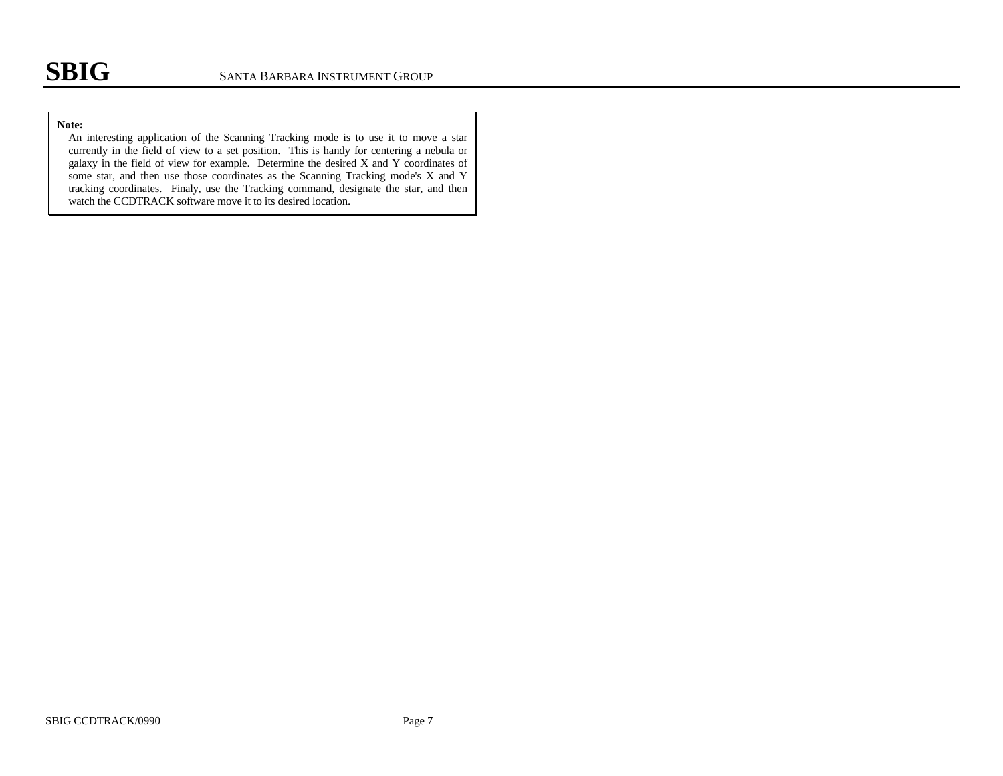### **Note:**

An interesting application of the Scanning Tracking mode is to use it to move a star currently in the field of view to a set position. This is handy for centering a nebula or galaxy in the field of view for example. Determine the desired X and Y coordinates of some star, and then use those coordinates as the Scanning Tracking mode's X and Y tracking coordinates. Finaly, use the Tracking command, designate the star, and then watch the CCDTRACK software move it to its desired location.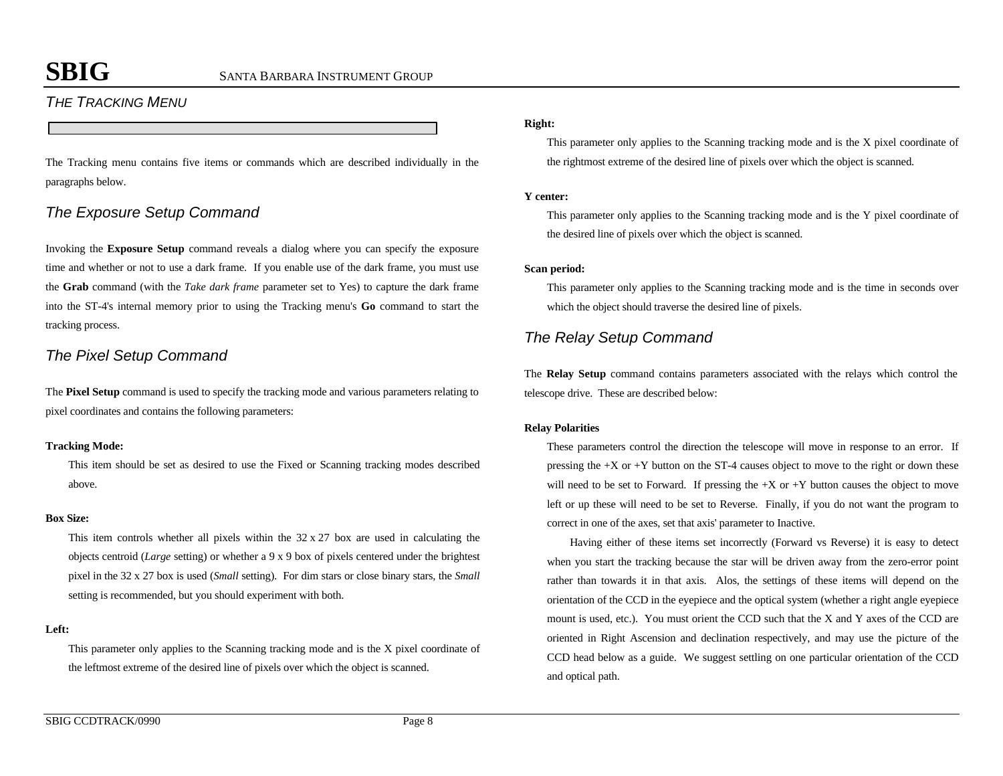# *THE TRACKING MENU*

The Tracking menu contains five items or commands which are described individually in the paragraphs below.

# *The Exposure Setup Command*

Invoking the **Exposure Setup** command reveals a dialog where you can specify the exposure time and whether or not to use a dark frame. If you enable use of the dark frame, you must use the **Grab** command (with the *Take dark frame* parameter set to Yes) to capture the dark frame into the ST-4's internal memory prior to using the Tracking menu's **Go** command to start the tracking process.

# *The Pixel Setup Command*

The **Pixel Setup** command is used to specify the tracking mode and various parameters relating to pixel coordinates and contains the following parameters:

### **Tracking Mode:**

This item should be set as desired to use the Fixed or Scanning tracking modes described above.

### **Box Size:**

This item controls whether all pixels within the  $32 \times 27$  box are used in calculating the objects centroid (*Large* setting) or whether a 9 x 9 box of pixels centered under the brightest pixel in the 32 x 27 box is used (*Small* setting). For dim stars or close binary stars, the *Small* setting is recommended, but you should experiment with both.

### **Left:**

This parameter only applies to the Scanning tracking mode and is the X pixel coordinate of the leftmost extreme of the desired line of pixels over which the object is scanned.

### **Right:**

This parameter only applies to the Scanning tracking mode and is the X pixel coordinate of the rightmost extreme of the desired line of pixels over which the object is scanned.

### **Y center:**

This parameter only applies to the Scanning tracking mode and is the Y pixel coordinate of the desired line of pixels over which the object is scanned.

### **Scan period:**

This parameter only applies to the Scanning tracking mode and is the time in seconds over which the object should traverse the desired line of pixels.

# *The Relay Setup Command*

The **Relay Setup** command contains parameters associated with the relays which control the telescope drive. These are described below:

### **Relay Polarities**

These parameters control the direction the telescope will move in response to an error. If pressing the +X or +Y button on the ST-4 causes object to move to the right or down these will need to be set to Forward. If pressing the  $+X$  or  $+Y$  button causes the object to move left or up these will need to be set to Reverse. Finally, if you do not want the program to correct in one of the axes, set that axis' parameter to Inactive.

Having either of these items set incorrectly (Forward vs Reverse) it is easy to detect when you start the tracking because the star will be driven away from the zero-error point rather than towards it in that axis. Alos, the settings of these items will depend on the orientation of the CCD in the eyepiece and the optical system (whether a right angle eyepiece mount is used, etc.). You must orient the CCD such that the X and Y axes of the CCD are oriented in Right Ascension and declination respectively, and may use the picture of the CCD head below as a guide. We suggest settling on one particular orientation of the CCD and optical path.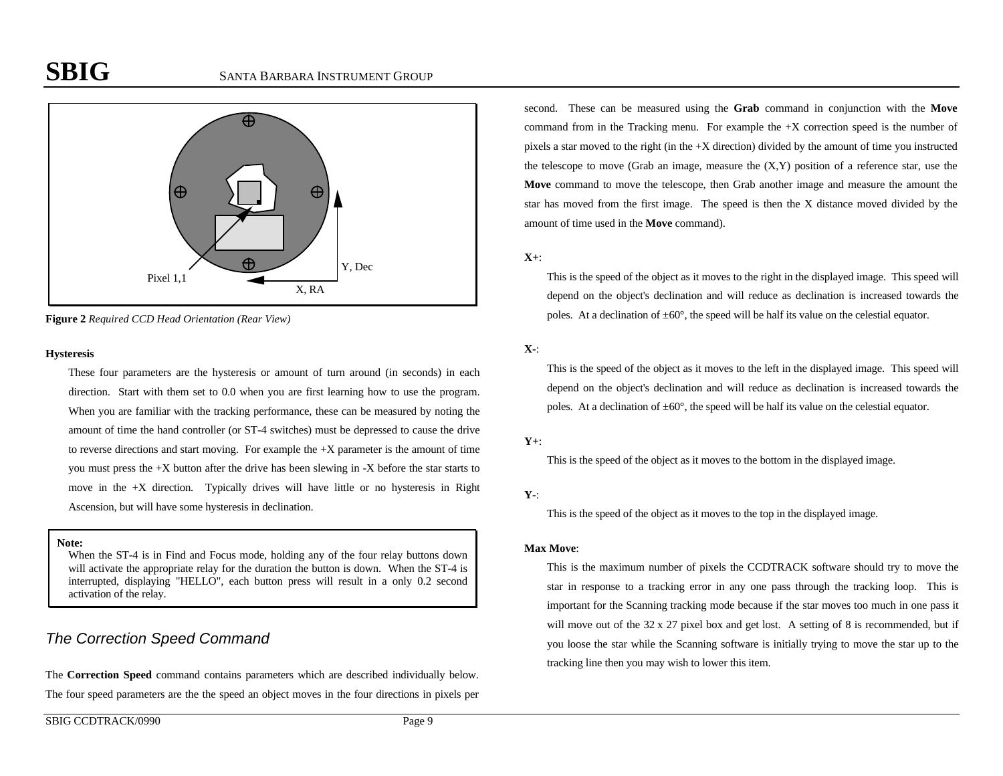

**Figure 2** *Required CCD Head Orientation (Rear View)*

#### **Hysteresis**

These four parameters are the hysteresis or amount of turn around (in seconds) in each direction. Start with them set to 0.0 when you are first learning how to use the program. When you are familiar with the tracking performance, these can be measured by noting the amount of time the hand controller (or ST-4 switches) must be depressed to cause the drive to reverse directions and start moving. For example the  $+X$  parameter is the amount of time you must press the +X button after the drive has been slewing in -X before the star starts to move in the  $+X$  direction. Typically drives will have little or no hysteresis in Right Ascension, but will have some hysteresis in declination.

### **Note:**

When the ST-4 is in Find and Focus mode, holding any of the four relay buttons down will activate the appropriate relay for the duration the button is down. When the ST-4 is interrupted, displaying "HELLO", each button press will result in a only 0.2 second activation of the relay.

# *The Correction Speed Command*

The **Correction Speed** command contains parameters which are described individually below. The four speed parameters are the the speed an object moves in the four directions in pixels per

second. These can be measured using the **Grab** command in conjunction with the **Move** command from in the Tracking menu. For example the +X correction speed is the number of pixels a star moved to the right (in the +X direction) divided by the amount of time you instructed the telescope to move (Grab an image, measure the  $(X, Y)$  position of a reference star, use the **Move** command to move the telescope, then Grab another image and measure the amount the star has moved from the first image. The speed is then the X distance moved divided by the amount of time used in the **Move** command).

### **X+**:

This is the speed of the object as it moves to the right in the displayed image. This speed will depend on the object's declination and will reduce as declination is increased towards the poles. At a declination of  $\pm 60^{\circ}$ , the speed will be half its value on the celestial equator.

## **X-**:

This is the speed of the object as it moves to the left in the displayed image. This speed will depend on the object's declination and will reduce as declination is increased towards the poles. At a declination of  $\pm 60^\circ$ , the speed will be half its value on the celestial equator.

### **Y+**:

This is the speed of the object as it moves to the bottom in the displayed image.

## **Y-**:

This is the speed of the object as it moves to the top in the displayed image.

### **Max Move**:

This is the maximum number of pixels the CCDTRACK software should try to move the star in response to a tracking error in any one pass through the tracking loop. This is important for the Scanning tracking mode because if the star moves too much in one pass it will move out of the 32 x 27 pixel box and get lost. A setting of 8 is recommended, but if you loose the star while the Scanning software is initially trying to move the star up to the tracking line then you may wish to lower this item.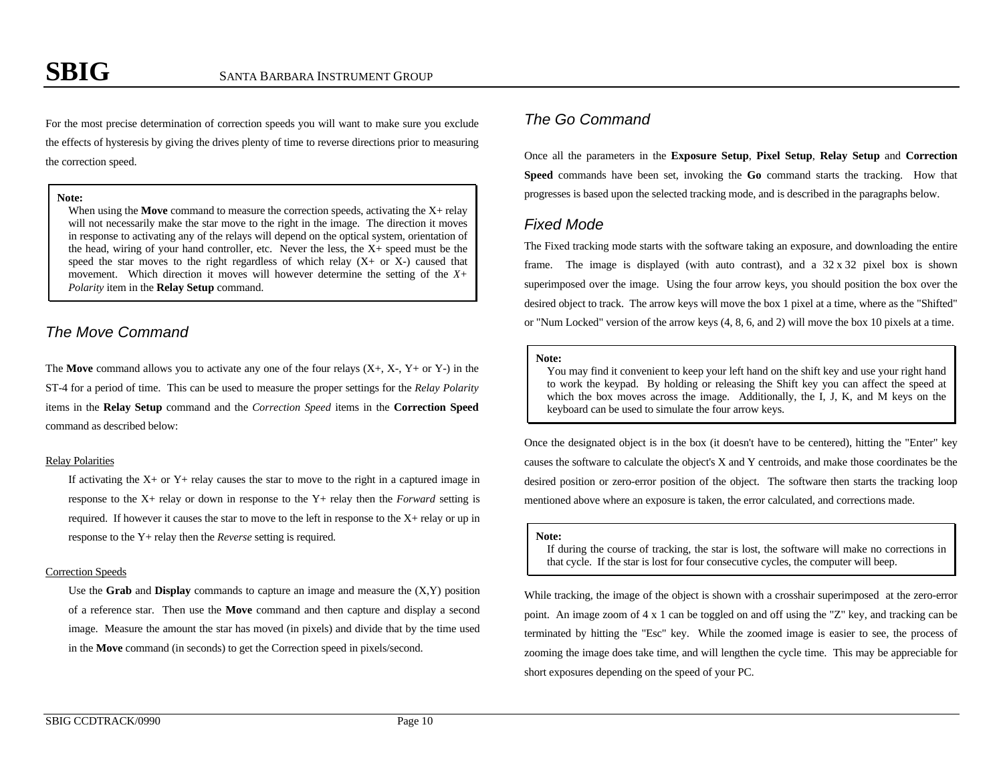For the most precise determination of correction speeds you will want to make sure you exclude the effects of hysteresis by giving the drives plenty of time to reverse directions prior to measuring the correction speed.

#### **Note:**

When using the **Move** command to measure the correction speeds, activating the X+ relay will not necessarily make the star move to the right in the image. The direction it moves in response to activating any of the relays will depend on the optical system, orientation of the head, wiring of your hand controller, etc. Never the less, the X+ speed must be the speed the star moves to the right regardless of which relay  $(X+$  or  $X-$ ) caused that movement. Which direction it moves will however determine the setting of the *X+ Polarity* item in the **Relay Setup** command.

## *The Move Command*

The **Move** command allows you to activate any one of the four relays  $(X+, X-, Y+$  or Y-) in the ST-4 for a period of time. This can be used to measure the proper settings for the *Relay Polarity* items in the **Relay Setup** command and the *Correction Speed* items in the **Correction Speed** command as described below:

#### Relay Polarities

If activating the  $X<sup>+</sup>$  or  $Y<sup>+</sup>$  relay causes the star to move to the right in a captured image in response to the X+ relay or down in response to the Y+ relay then the *Forward* setting is required. If however it causes the star to move to the left in response to the X+ relay or up in response to the Y+ relay then the *Reverse* setting is required.

#### Correction Speeds

Use the **Grab** and **Display** commands to capture an image and measure the (X,Y) position of a reference star. Then use the **Move** command and then capture and display a second image. Measure the amount the star has moved (in pixels) and divide that by the time used in the **Move** command (in seconds) to get the Correction speed in pixels/second.

# *The Go Command*

Once all the parameters in the **Exposure Setup**, **Pixel Setup**, **Relay Setup** and **Correction Speed** commands have been set, invoking the **Go** command starts the tracking. How that progresses is based upon the selected tracking mode, and is described in the paragraphs below.

## *Fixed Mode*

The Fixed tracking mode starts with the software taking an exposure, and downloading the entire frame. The image is displayed (with auto contrast), and a 32 x 32 pixel box is shown superimposed over the image. Using the four arrow keys, you should position the box over the desired object to track. The arrow keys will move the box 1 pixel at a time, where as the "Shifted" or "Num Locked" version of the arrow keys (4, 8, 6, and 2) will move the box 10 pixels at a time.

#### **Note:**

You may find it convenient to keep your left hand on the shift key and use your right hand to work the keypad. By holding or releasing the Shift key you can affect the speed at which the box moves across the image. Additionally, the I, J, K, and M keys on the keyboard can be used to simulate the four arrow keys.

Once the designated object is in the box (it doesn't have to be centered), hitting the "Enter" key causes the software to calculate the object's X and Y centroids, and make those coordinates be the desired position or zero-error position of the object. The software then starts the tracking loop mentioned above where an exposure is taken, the error calculated, and corrections made.

#### **Note:**

If during the course of tracking, the star is lost, the software will make no corrections in that cycle. If the star is lost for four consecutive cycles, the computer will beep.

While tracking, the image of the object is shown with a crosshair superimposed at the zero-error point. An image zoom of 4 x 1 can be toggled on and off using the "Z" key, and tracking can be terminated by hitting the "Esc" key. While the zoomed image is easier to see, the process of zooming the image does take time, and will lengthen the cycle time. This may be appreciable for short exposures depending on the speed of your PC.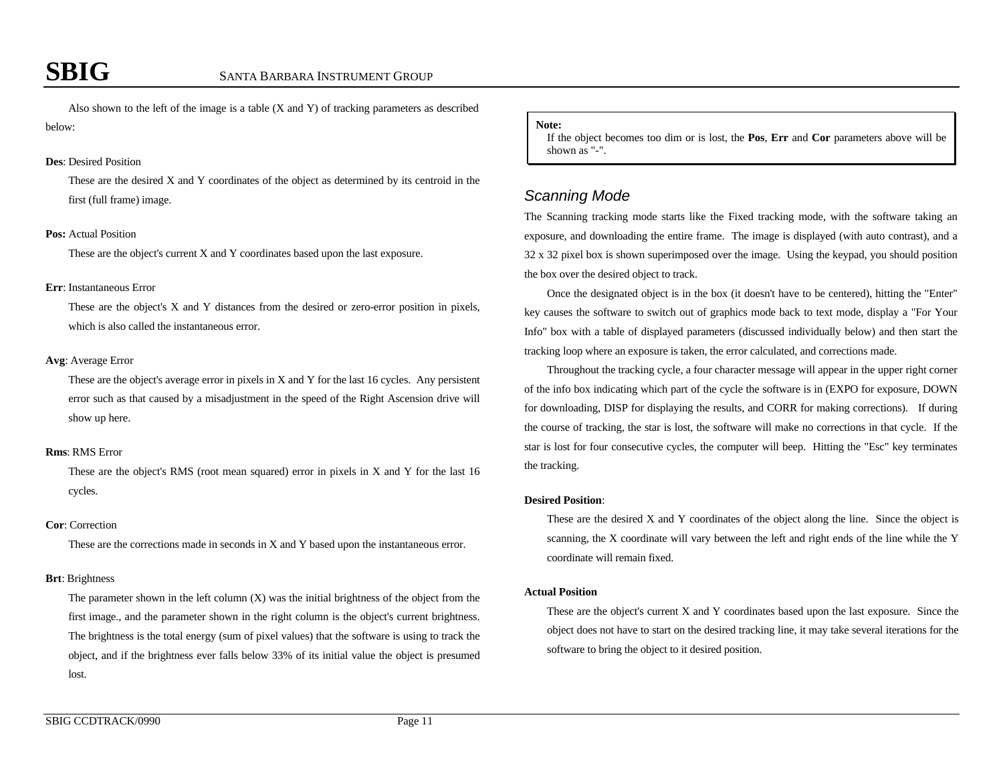Also shown to the left of the image is a table  $(X \text{ and } Y)$  of tracking parameters as described below:

#### **Des**: Desired Position

These are the desired X and Y coordinates of the object as determined by its centroid in the first (full frame) image.

#### **Pos:** Actual Position

These are the object's current X and Y coordinates based upon the last exposure.

#### **Err**: Instantaneous Error

These are the object's X and Y distances from the desired or zero-error position in pixels, which is also called the instantaneous error.

#### **Avg**: Average Error

These are the object's average error in pixels in X and Y for the last 16 cycles. Any persistent error such as that caused by a misadjustment in the speed of the Right Ascension drive will show up here.

#### **Rms**: RMS Error

These are the object's RMS (root mean squared) error in pixels in X and Y for the last 16 cycles.

#### **Cor**: Correction

These are the corrections made in seconds in X and Y based upon the instantaneous error.

#### **Brt**: Brightness

The parameter shown in the left column (X) was the initial brightness of the object from the first image., and the parameter shown in the right column is the object's current brightness. The brightness is the total energy (sum of pixel values) that the software is using to track the object, and if the brightness ever falls below 33% of its initial value the object is presumed lost.

#### **Note:**

If the object becomes too dim or is lost, the **Pos**, **Err** and **Cor** parameters above will be shown as "-".

## *Scanning Mode*

The Scanning tracking mode starts like the Fixed tracking mode, with the software taking an exposure, and downloading the entire frame. The image is displayed (with auto contrast), and a 32 x 32 pixel box is shown superimposed over the image. Using the keypad, you should position the box over the desired object to track.

Once the designated object is in the box (it doesn't have to be centered), hitting the "Enter" key causes the software to switch out of graphics mode back to text mode, display a "For Your Info" box with a table of displayed parameters (discussed individually below) and then start the tracking loop where an exposure is taken, the error calculated, and corrections made.

Throughout the tracking cycle, a four character message will appear in the upper right corner of the info box indicating which part of the cycle the software is in (EXPO for exposure, DOWN for downloading, DISP for displaying the results, and CORR for making corrections). If during the course of tracking, the star is lost, the software will make no corrections in that cycle. If the star is lost for four consecutive cycles, the computer will beep. Hitting the "Esc" key terminates the tracking.

#### **Desired Position**:

These are the desired X and Y coordinates of the object along the line. Since the object is scanning, the X coordinate will vary between the left and right ends of the line while the Y coordinate will remain fixed.

#### **Actual Position**

These are the object's current X and Y coordinates based upon the last exposure. Since the object does not have to start on the desired tracking line, it may take several iterations for the software to bring the object to it desired position.